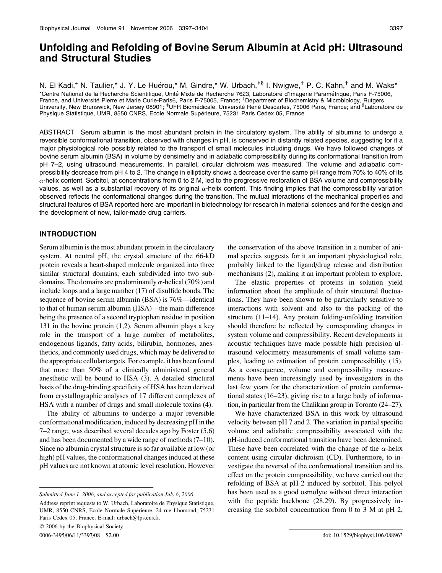# Unfolding and Refolding of Bovine Serum Albumin at Acid pH: Ultrasound and Structural Studies

N. El Kadi,\* N. Taulier,\* J. Y. Le Huérou,\* M. Gindre,\* W. Urbach,<sup>‡§</sup> I. Nwigwe,<sup>†</sup> P. C. Kahn,<sup>†</sup> and M. Waks\* \*Centre National de la Recherche Scientifique, Unite´ Mixte de Recherche 7623, Laboratoire d'Imagerie Parame´trique, Paris F-75006, France, and Université Pierre et Marie Curie-Paris6, Paris F-75005, France; <sup>†</sup>Department of Biochemistry & Microbiology, Rutgers University, New Brunswick, New Jersey 08901; <sup>‡</sup>UFR Biomédicale, Université René Descartes, 75006 Paris, France; and <sup>§</sup>Laboratoire de Physique Statistique, UMR, 8550 CNRS, Ecole Normale Supérieure, 75231 Paris Cedex 05, France

ABSTRACT Serum albumin is the most abundant protein in the circulatory system. The ability of albumins to undergo a reversible conformational transition, observed with changes in pH, is conserved in distantly related species, suggesting for it a major physiological role possibly related to the transport of small molecules including drugs. We have followed changes of bovine serum albumin (BSA) in volume by densimetry and in adiabatic compressibility during its conformational transition from pH 7–2, using ultrasound measurements. In parallel, circular dichroism was measured. The volume and adiabatic compressibility decrease from pH 4 to 2. The change in ellipticity shows a decrease over the same pH range from 70% to 40% of its  $\alpha$ -helix content. Sorbitol, at concentrations from 0 to 2 M, led to the progressive restoration of BSA volume and compressibility values, as well as a substantial recovery of its original  $\alpha$ -helix content. This finding implies that the compressibility variation observed reflects the conformational changes during the transition. The mutual interactions of the mechanical properties and structural features of BSA reported here are important in biotechnology for research in material sciences and for the design and the development of new, tailor-made drug carriers.

# INTRODUCTION

Serum albumin is the most abundant protein in the circulatory system. At neutral pH, the crystal structure of the 66-kD protein reveals a heart-shaped molecule organized into three similar structural domains, each subdivided into two subdomains. The domains are predominantly  $\alpha$ -helical (70%) and include loops and a large number (17) of disulfide bonds. The sequence of bovine serum albumin (BSA) is 76%—identical to that of human serum albumin (HSA)—the main difference being the presence of a second tryptophan residue in position 131 in the bovine protein (1,2). Serum albumin plays a key role in the transport of a large number of metabolites, endogenous ligands, fatty acids, bilirubin, hormones, anesthetics, and commonly used drugs, which may be delivered to the appropriate cellular targets. For example, it has been found that more than 50% of a clinically administered general anesthetic will be bound to HSA (3). A detailed structural basis of the drug-binding specificity of HSA has been derived from crystallographic analyses of 17 different complexes of HSA with a number of drugs and small molecule toxins (4).

The ability of albumins to undergo a major reversible conformational modification, induced by decreasing pH in the 7–2 range, was described several decades ago by Foster (5,6) and has been documented by a wide range of methods (7–10). Since no albumin crystal structure is so far available at low (or high) pH values, the conformational changes induced at these pH values are not known at atomic level resolution. However

 $© 2006$  by the Biophysical Society

the conservation of the above transition in a number of animal species suggests for it an important physiological role, probably linked to the ligand/drug release and distribution mechanisms (2), making it an important problem to explore.

The elastic properties of proteins in solution yield information about the amplitude of their structural fluctuations. They have been shown to be particularly sensitive to interactions with solvent and also to the packing of the structure (11–14). Any protein folding-unfolding transition should therefore be reflected by corresponding changes in system volume and compressibility. Recent developments in acoustic techniques have made possible high precision ultrasound velocimetry measurements of small volume samples, leading to estimation of protein compressibility (15). As a consequence, volume and compressibility measurements have been increasingly used by investigators in the last few years for the characterization of protein conformational states (16–23), giving rise to a large body of information, in particular from the Chalikian group in Toronto (24–27).

We have characterized BSA in this work by ultrasound velocity between pH 7 and 2. The variation in partial specific volume and adiabatic compressibility associated with the pH-induced conformational transition have been determined. These have been correlated with the change of the  $\alpha$ -helix content using circular dichroism (CD). Furthermore, to investigate the reversal of the conformational transition and its effect on the protein compressibility, we have carried out the refolding of BSA at pH 2 induced by sorbitol. This polyol has been used as a good osmolyte without direct interaction with the peptide backbone (28,29). By progressively increasing the sorbitol concentration from 0 to 3 M at pH 2,

Submitted June 1, 2006, and accepted for publication July 6, 2006.

Address reprint requests to W. Urbach, Laboratoire de Physique Statistique, UMR, 8550 CNRS, Ecole Normale Supérieure, 24 rue Lhomond, 75231 Paris Cedex 05, France. E-mail: urbach@lps.ens.fr.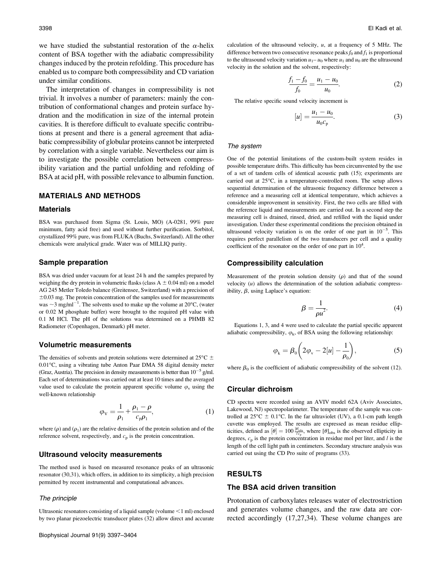we have studied the substantial restoration of the  $\alpha$ -helix content of BSA together with the adiabatic compressibility changes induced by the protein refolding. This procedure has enabled us to compare both compressibility and CD variation under similar conditions.

The interpretation of changes in compressibility is not trivial. It involves a number of parameters: mainly the contribution of conformational changes and protein surface hydration and the modification in size of the internal protein cavities. It is therefore difficult to evaluate specific contributions at present and there is a general agreement that adiabatic compressibility of globular proteins cannot be interpreted by correlation with a single variable. Nevertheless our aim is to investigate the possible correlation between compressibility variation and the partial unfolding and refolding of BSA at acid pH, with possible relevance to albumin function.

# MATERIALS AND METHODS

#### Materials

BSA was purchased from Sigma (St. Louis, MO) (A-0281, 99% pure minimum, fatty acid free) and used without further purification. Sorbitol, crystallized 99% pure, was from FLUKA (Buchs, Switzerland). All the other chemicals were analytical grade. Water was of MILLIQ purity.

#### Sample preparation

BSA was dried under vacuum for at least 24 h and the samples prepared by weighing the dry protein in volumetric flasks (class  $A \pm 0.04$  ml) on a model AG 245 Metler Toledo balance (Greitensee, Switzerland) with a precision of  $\pm 0.03$  mg. The protein concentration of the samples used for measurements was  $\sim$ 3 mg/ml<sup>-1</sup>. The solvents used to make up the volume at 20 $\rm{^{\circ}C}$ , (water or 0.02 M phosphate buffer) were brought to the required pH value with 0.1 M HCl. The pH of the solutions was determined on a PHMB 82 Radiometer (Copenhagen, Denmark) pH meter.

### Volumetric measurements

The densities of solvents and protein solutions were determined at 25 $\degree$ C  $\pm$ 0.01°C, using a vibrating tube Anton Paar DMA 58 digital density meter (Graz, Austria). The precision in density measurements is better than  $10^{-5}$  g/ml. Each set of determinations was carried out at least 10 times and the averaged value used to calculate the protein apparent specific volume  $\varphi$ <sub>v</sub> using the well-known relationship

$$
\varphi_{\rm V} = \frac{1}{\rho_1} + \frac{\rho_1 - \rho}{c_{\rm p}\rho_1},\tag{1}
$$

where  $(\rho)$  and  $(\rho_1)$  are the relative densities of the protein solution and of the reference solvent, respectively, and  $c_p$  is the protein concentration.

# Ultrasound velocity measurements

The method used is based on measured resonance peaks of an ultrasonic resonator (30,31), which offers, in addition to its simplicity, a high precision permitted by recent instrumental and computational advances.

#### The principle

Ultrasonic resonators consisting of a liquid sample (volume  $\leq 1$  ml) enclosed by two planar piezoelectric transducer plates (32) allow direct and accurate calculation of the ultrasound velocity,  $u$ , at a frequency of 5 MHz. The difference between two consecutive resonance peaks  $f_0$  and  $f_1$  is proportional to the ultrasound velocity variation  $u_1 - u_0$  where  $u_1$  and  $u_0$  are the ultrasound velocity in the solution and the solvent, respectively:

$$
\frac{f_1 - f_0}{f_0} = \frac{u_1 - u_0}{u_0}.
$$
 (2)

The relative specific sound velocity increment is

$$
[u] = \frac{u_1 - u_0}{u_0 c_p}.
$$
 (3)

#### The system

One of the potential limitations of the custom-built system resides in possible temperature drifts. This difficulty has been circumvented by the use of a set of tandem cells of identical acoustic path (15); experiments are carried out at  $25^{\circ}$ C, in a temperature-controlled room. The setup allows sequential determination of the ultrasonic frequency difference between a reference and a measuring cell at identical temperature, which achieves a considerable improvement in sensitivity. First, the two cells are filled with the reference liquid and measurements are carried out. In a second step the measuring cell is drained, rinsed, dried, and refilled with the liquid under investigation. Under these experimental conditions the precision obtained in ultrasound velocity variation is on the order of one part in  $10^{-5}$ . This requires perfect parallelism of the two transducers per cell and a quality coefficient of the resonator on the order of one part in  $10^4$ .

#### Compressibility calculation

Measurement of the protein solution density  $(\rho)$  and that of the sound velocity  $(u)$  allows the determination of the solution adiabatic compressibility,  $\beta$ , using Laplace's equation:

$$
\beta = \frac{1}{\rho u^2}.\tag{4}
$$

Equations 1, 3, and 4 were used to calculate the partial specific apparent adiabatic compressibility,  $\varphi_k$ , of BSA using the following relationship:

$$
\varphi_{k} = \beta_0 \left( 2\varphi_{v} - 2[u] - \frac{1}{\rho_0} \right),\tag{5}
$$

where  $\beta_0$  is the coefficient of adiabatic compressibility of the solvent (12).

# Circular dichroism

CD spectra were recorded using an AVIV model 62A (Aviv Associates, Lakewood, NJ) spectropolarimeter. The temperature of the sample was controlled at  $25^{\circ}$ C  $\pm$  0.1°C. In the far ultraviolet (UV), a 0.1-cm path length cuvette was employed. The results are expressed as mean residue ellipticities, defined as  $[\theta] = 100 \frac{[\theta]_{obs}}{l c_p}$ , where  $[\theta]_{obs}$  is the observed ellipticity in degrees,  $c_p$  is the protein concentration in residue mol per liter, and l is the length of the cell light path in centimeters. Secondary structure analysis was carried out using the CD Pro suite of programs (33).

#### RESULTS

### The BSA acid driven transition

Protonation of carboxylates releases water of electrostriction and generates volume changes, and the raw data are corrected accordingly (17,27,34). These volume changes are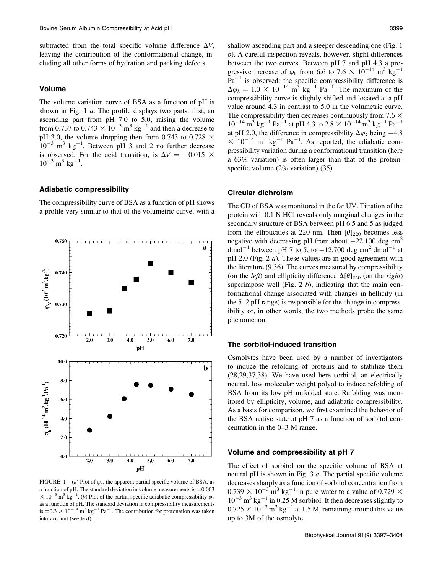subtracted from the total specific volume difference  $\Delta V$ , leaving the contribution of the conformational change, including all other forms of hydration and packing defects.

# Volume

The volume variation curve of BSA as a function of pH is shown in Fig. 1  $a$ . The profile displays two parts: first, an ascending part from pH 7.0 to 5.0, raising the volume from 0.737 to 0.743  $\times$  10<sup>-3</sup> m<sup>3</sup> kg<sup>-1</sup> and then a decrease to pH 3.0, the volume dropping then from 0.743 to 0.728  $\times$  $10^{-3}$  m<sup>3</sup> kg<sup>-1</sup>. Between pH 3 and 2 no further decrease is observed. For the acid transition, is  $\Delta V = -0.015 \times$  $10^{-3}$  m<sup>3</sup> kg<sup>-1</sup>.

### Adiabatic compressibility

The compressibility curve of BSA as a function of pH shows a profile very similar to that of the volumetric curve, with a



FIGURE 1 (a) Plot of  $\varphi$ <sub>v</sub>, the apparent partial specific volume of BSA, as a function of pH. The standard deviation in volume measurements is  $\pm 0.003$  $\times 10^{-3}$  m<sup>3</sup> kg<sup>-1</sup>. (b) Plot of the partial specific adiabatic compressibility  $\varphi_k$ as a function of pH. The standard deviation in compressibility measurements is  $\pm 0.3 \times 10^{-14}$  m<sup>3</sup> kg<sup>-1</sup> Pa<sup>-1</sup>. The contribution for protonation was taken into account (see text).

shallow ascending part and a steeper descending one (Fig. 1 b). A careful inspection reveals, however, slight differences between the two curves. Between pH 7 and pH 4.3 a progressive increase of  $\varphi_k$  from 6.6 to 7.6  $\times$  10<sup>-14</sup> m<sup>3</sup> kg<sup>-1</sup>  $Pa^{-1}$  is observed: the specific compressibility difference is  $\Delta \varphi_k = 1.0 \times 10^{-14} \text{ m}^3 \text{ kg}^{-1} \text{ Pa}^{-1}$ . The maximum of the compressibility curve is slightly shifted and located at a pH value around 4.3 in contrast to 5.0 in the volumetric curve. The compressibility then decreases continuously from 7.6  $\times$  $10^{-14}$  m<sup>3</sup> kg<sup>-1</sup> Pa<sup>-1</sup> at pH 4.3 to 2.8  $\times$   $10^{-14}$  m<sup>3</sup> kg<sup>-1</sup> Pa<sup>-1</sup> at pH 2.0, the difference in compressibility  $\Delta \varphi_k$  being -4.8  $\times$  10<sup>-14</sup> m<sup>3</sup> kg<sup>-1</sup> Pa<sup>-1</sup>. As reported, the adiabatic compressibility variation during a conformational transition (here a 63% variation) is often larger than that of the proteinspecific volume (2% variation) (35).

### Circular dichroism

The CD of BSA was monitored in the far UV. Titration of the protein with 0.1 N HCl reveals only marginal changes in the secondary structure of BSA between pH 6.5 and 5 as judged from the ellipticities at 220 nm. Then  $\left[\theta\right]_{220}$  becomes less negative with decreasing pH from about  $-22,100$  deg cm<sup>2</sup> dmol<sup>-1</sup> between pH 7 to 5, to  $-12,700$  deg cm<sup>2</sup> dmol<sup>-1</sup> at pH 2.0 (Fig. 2  $a$ ). These values are in good agreement with the literature (9,36). The curves measured by compressibility (on the *left*) and ellipticity difference  $\Delta[\theta]_{220}$  (on the *right*) superimpose well (Fig. 2  $b$ ), indicating that the main conformational change associated with changes in hellicity (in the 5–2 pH range) is responsible for the change in compressibility or, in other words, the two methods probe the same phenomenon.

### The sorbitol-induced transition

Osmolytes have been used by a number of investigators to induce the refolding of proteins and to stabilize them (28,29,37,38). We have used here sorbitol, an electrically neutral, low molecular weight polyol to induce refolding of BSA from its low pH unfolded state. Refolding was monitored by ellipticity, volume, and adiabatic compressibility. As a basis for comparison, we first examined the behavior of the BSA native state at pH 7 as a function of sorbitol concentration in the 0–3 M range.

### Volume and compressibility at pH 7

The effect of sorbitol on the specific volume of BSA at neutral pH is shown in Fig.  $3 \, a$ . The partial specific volume decreases sharply as a function of sorbitol concentration from  $0.739 \times 10^{-3}$  m<sup>3</sup> kg<sup>-1</sup> in pure water to a value of 0.729  $\times$  $10^{-3}$  m<sup>3</sup> kg<sup>-1</sup> in 0.25 M sorbitol. It then decreases slightly to  $0.725 \times 10^{-3}$  m<sup>3</sup> kg<sup>-1</sup> at 1.5 M, remaining around this value up to 3M of the osmolyte.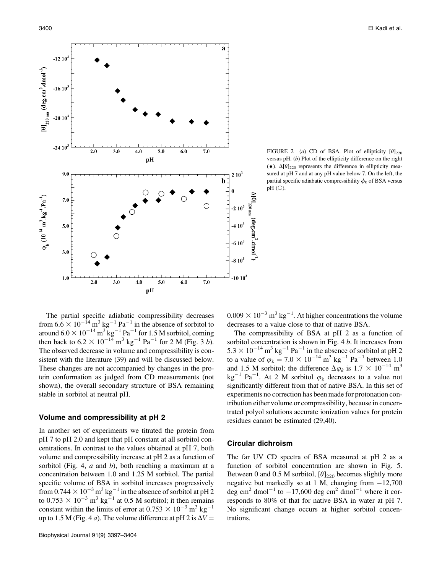

FIGURE 2 (a) CD of BSA. Plot of ellipticity  $\lbrack \theta \rbrack_{220}$ versus pH.  $(b)$  Plot of the ellipticity difference on the right  $(\bullet)$ .  $\Delta[\theta]_{220}$  represents the difference in ellipticity measured at pH 7 and at any pH value below 7. On the left, the partial specific adiabatic compressibility  $\phi_k$  of BSA versus  $pH$  (O).

The partial specific adiabatic compressibility decreases from  $6.6 \times 10^{-14}$  m<sup>3</sup> kg<sup>-1</sup> Pa<sup>-1</sup> in the absence of sorbitol to around  $6.0 \times 10^{-14}$  m<sup>3</sup> kg<sup>-1</sup> Pa<sup>-1</sup> for 1.5 M sorbitol, coming then back to  $6.2 \times 10^{-14}$  m<sup>3</sup> kg<sup>-1</sup> Pa<sup>-1</sup> for 2 M (Fig. 3 *b*). The observed decrease in volume and compressibility is consistent with the literature (39) and will be discussed below. These changes are not accompanied by changes in the protein conformation as judged from CD measurements (not shown), the overall secondary structure of BSA remaining stable in sorbitol at neutral pH.

# Volume and compressibility at pH 2

In another set of experiments we titrated the protein from pH 7 to pH 2.0 and kept that pH constant at all sorbitol concentrations. In contrast to the values obtained at pH 7, both volume and compressibility increase at pH 2 as a function of sorbitol (Fig. 4,  $a$  and  $b$ ), both reaching a maximum at a concentration between 1.0 and 1.25 M sorbitol. The partial specific volume of BSA in sorbitol increases progressively from  $0.744 \times 10^{-3}$  m<sup>3</sup> kg<sup>-1</sup> in the absence of sorbitol at pH 2 to 0.753  $\times$  10<sup>-3</sup> m<sup>3</sup> kg<sup>-1</sup> at 0.5 M sorbitol; it then remains constant within the limits of error at  $0.753 \times 10^{-3}$  m<sup>3</sup> kg<sup>-1</sup> up to 1.5 M (Fig. 4 *a*). The volume difference at pH 2 is  $\Delta V =$ 

 $0.009 \times 10^{-3}$  m<sup>3</sup> kg<sup>-1</sup>. At higher concentrations the volume decreases to a value close to that of native BSA.

The compressibility of BSA at pH 2 as a function of sorbitol concentration is shown in Fig. 4 b. It increases from  $5.3 \times 10^{-14}$  m<sup>3</sup> kg<sup>-1</sup> Pa<sup>-1</sup> in the absence of sorbitol at pH 2 to a value of  $\varphi_k = 7.0 \times 10^{-14} \text{ m}^3 \text{ kg}^{-1} \text{ Pa}^{-1}$  between 1.0 and 1.5 M sorbitol; the difference  $\Delta \varphi_k$  is 1.7  $\times$  10<sup>-14</sup> m<sup>3</sup>  $kg^{-1}$  Pa<sup>-1</sup>. At 2 M sorbitol  $\varphi_k$  decreases to a value not significantly different from that of native BSA. In this set of experiments no correction has been made for protonation contribution either volume or compressibility, because in concentrated polyol solutions accurate ionization values for protein residues cannot be estimated (29,40).

# Circular dichroism

The far UV CD spectra of BSA measured at pH 2 as a function of sorbitol concentration are shown in Fig. 5. Between 0 and 0.5 M sorbitol,  $[\theta]_{220}$  becomes slightly more negative but markedly so at 1 M, changing from  $-12,700$ deg cm<sup>2</sup> dmol<sup>-1</sup> to  $-17,600$  deg cm<sup>2</sup> dmol<sup>-1</sup> where it corresponds to 80% of that for native BSA in water at pH 7. No significant change occurs at higher sorbitol concentrations.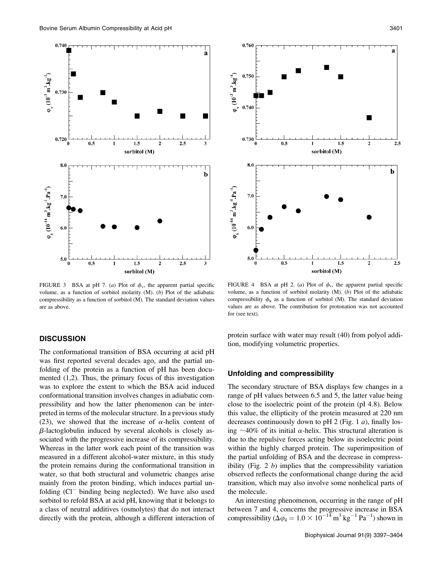

FIGURE 3 BSA at pH 7. (a) Plot of  $\phi_v$ , the apparent partial specific volume, as a function of sorbitol molarity (M). (b) Plot of the adiabatic compressibility as a function of sorbitol (M). The standard deviation values are as above.

# **DISCUSSION**

The conformational transition of BSA occurring at acid pH was first reported several decades ago, and the partial unfolding of the protein as a function of pH has been documented (1,2). Thus, the primary focus of this investigation was to explore the extent to which the BSA acid induced conformational transition involves changes in adiabatic compressibility and how the latter phenomenon can be interpreted in terms of the molecular structure. In a previous study (23), we showed that the increase of  $\alpha$ -helix content of  $\beta$ -lactoglobulin induced by several alcohols is closely associated with the progressive increase of its compressibility. Whereas in the latter work each point of the transition was measured in a different alcohol-water mixture, in this study the protein remains during the conformational transition in water, so that both structural and volumetric changes arise mainly from the proton binding, which induces partial unfolding (Cl<sup>-</sup> binding being neglected). We have also used sorbitol to refold BSA at acid pH, knowing that it belongs to a class of neutral additives (osmolytes) that do not interact directly with the protein, although a different interaction of



FIGURE 4 BSA at pH 2. (a) Plot of  $\phi_v$ , the apparent partial specific volume, as a function of sorbitol molarity  $(M)$ .  $(b)$  Plot of the adiabatic compressibility  $\phi_k$  as a function of sorbitol (M). The standard deviation values are as above. The contribution for protonation was not accounted for (see text).

protein surface with water may result (40) from polyol addition, modifying volumetric properties.

# Unfolding and compressibility

The secondary structure of BSA displays few changes in a range of pH values between 6.5 and 5, the latter value being close to the isoelectric point of the protein (pI 4.8). Below this value, the ellipticity of the protein measured at 220 nm decreases continuously down to pH 2 (Fig. 1  $a$ ), finally losing  $\sim$ 40% of its initial  $\alpha$ -helix. This structural alteration is due to the repulsive forces acting below its isoelectric point within the highly charged protein. The superimposition of the partial unfolding of BSA and the decrease in compressibility (Fig.  $2$  b) implies that the compressibility variation observed reflects the conformational change during the acid transition, which may also involve some nonhelical parts of the molecule.

An interesting phenomenon, occurring in the range of pH between 7 and 4, concerns the progressive increase in BSA compressibility ( $\Delta \varphi_k = 1.0 \times 10^{-14} \,\mathrm{m}^3 \,\mathrm{kg}^{-1} \,\mathrm{Pa}^{-1}$ ) shown in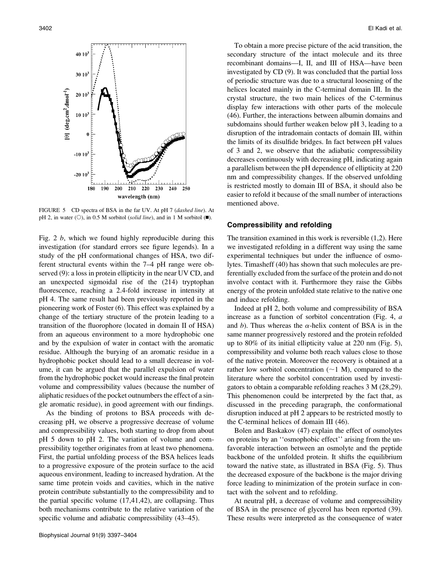

FIGURE 5 CD spectra of BSA in the far UV. At pH 7 (dashed line). At pH 2, in water ( $\circ$ ), in 0.5 M sorbitol (solid line), and in 1 M sorbitol ( $\blacksquare$ ).

Fig. 2  $b$ , which we found highly reproducible during this investigation (for standard errors see figure legends). In a study of the pH conformational changes of HSA, two different structural events within the 7–4 pH range were observed (9): a loss in protein ellipticity in the near UV CD, and an unexpected sigmoidal rise of the (214) tryptophan fluorescence, reaching a 2.4-fold increase in intensity at pH 4. The same result had been previously reported in the pioneering work of Foster (6). This effect was explained by a change of the tertiary structure of the protein leading to a transition of the fluorophore (located in domain II of HSA) from an aqueous environment to a more hydrophobic one and by the expulsion of water in contact with the aromatic residue. Although the burying of an aromatic residue in a hydrophobic pocket should lead to a small decrease in volume, it can be argued that the parallel expulsion of water from the hydrophobic pocket would increase the final protein volume and compressibility values (because the number of aliphatic residues of the pocket outnumbers the effect of a single aromatic residue), in good agreement with our findings.

As the binding of protons to BSA proceeds with decreasing pH, we observe a progressive decrease of volume and compressibility values, both starting to drop from about pH 5 down to pH 2. The variation of volume and compressibility together originates from at least two phenomena. First, the partial unfolding process of the BSA helices leads to a progressive exposure of the protein surface to the acid aqueous environment, leading to increased hydration. At the same time protein voids and cavities, which in the native protein contribute substantially to the compressibility and to the partial specific volume (17,41,42), are collapsing. Thus both mechanisms contribute to the relative variation of the specific volume and adiabatic compressibility  $(43-45)$ .

To obtain a more precise picture of the acid transition, the secondary structure of the intact molecule and its three recombinant domains—I, II, and III of HSA—have been investigated by CD (9). It was concluded that the partial loss of periodic structure was due to a structural loosening of the helices located mainly in the C-terminal domain III. In the crystal structure, the two main helices of the C-terminus display few interactions with other parts of the molecule (46). Further, the interactions between albumin domains and subdomains should further weaken below pH 3, leading to a disruption of the intradomain contacts of domain III, within the limits of its disulfide bridges. In fact between pH values of 3 and 2, we observe that the adiabatic compressibility decreases continuously with decreasing pH, indicating again a parallelism between the pH dependence of ellipticity at 220 nm and compressibility changes. If the observed unfolding is restricted mostly to domain III of BSA, it should also be easier to refold it because of the small number of interactions mentioned above.

# Compressibility and refolding

The transition examined in this work is reversible (1,2). Here we investigated refolding in a different way using the same experimental techniques but under the influence of osmolytes. Timasheff (40) has shown that such molecules are preferentially excluded from the surface of the protein and do not involve contact with it. Furthermore they raise the Gibbs energy of the protein unfolded state relative to the native one and induce refolding.

Indeed at pH 2, both volume and compressibility of BSA increase as a function of sorbitol concentration (Fig. 4, a and b). Thus whereas the  $\alpha$ -helix content of BSA is in the same manner progressively restored and the protein refolded up to 80% of its initial ellipticity value at 220 nm (Fig. 5), compressibility and volume both reach values close to those of the native protein. Moreover the recovery is obtained at a rather low sorbitol concentration  $(\sim 1 \text{ M})$ , compared to the literature where the sorbitol concentration used by investigators to obtain a comparable refolding reaches 3 M (28,29). This phenomenon could be interpreted by the fact that, as discussed in the preceding paragraph, the conformational disruption induced at pH 2 appears to be restricted mostly to the C-terminal helices of domain III (46).

Bolen and Baskakov (47) explain the effect of osmolytes on proteins by an ''osmophobic effect'' arising from the unfavorable interaction between an osmolyte and the peptide backbone of the unfolded protein. It shifts the equilibrium toward the native state, as illustrated in BSA (Fig. 5). Thus the decreased exposure of the backbone is the major driving force leading to minimization of the protein surface in contact with the solvent and to refolding.

At neutral pH, a decrease of volume and compressibility of BSA in the presence of glycerol has been reported (39). These results were interpreted as the consequence of water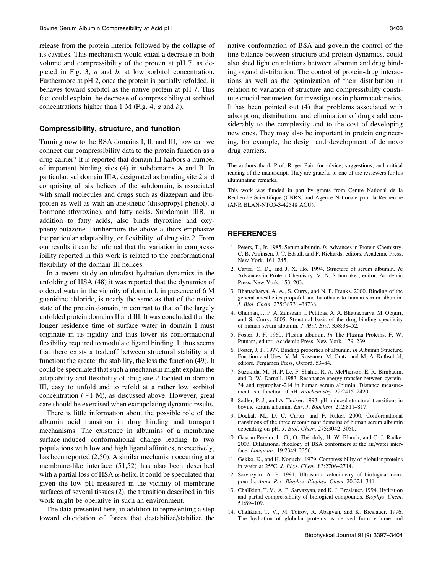release from the protein interior followed by the collapse of its cavities. This mechanism would entail a decrease in both volume and compressibility of the protein at pH 7, as depicted in Fig. 3,  $a$  and  $b$ , at low sorbitol concentration. Furthermore at pH 2, once the protein is partially refolded, it behaves toward sorbitol as the native protein at pH 7. This fact could explain the decrease of compressibility at sorbitol concentrations higher than  $1 \text{ M}$  (Fig. 4,  $a$  and  $b$ ).

# Compressibility, structure, and function

Turning now to the BSA domains I, II, and III, how can we connect our compressibility data to the protein function as a drug carrier? It is reported that domain III harbors a number of important binding sites (4) in subdomains A and B. In particular, subdomain IIIA, designated as bonding site 2 and comprising all six helices of the subdomain, is associated with small molecules and drugs such as diazepam and ibuprofen as well as with an anesthetic (diisopropyl phenol), a hormone (thyroxine), and fatty acids. Subdomain IIIB, in addition to fatty acids, also binds thyroxine and oxyphenylbutazone. Furthermore the above authors emphasize the particular adaptability, or flexibility, of drug site 2. From our results it can be inferred that the variation in compressibility reported in this work is related to the conformational flexibility of the domain III helices.

In a recent study on ultrafast hydration dynamics in the unfolding of HSA (48) it was reported that the dynamics of ordered water in the vicinity of domain I, in presence of 6 M guanidine chloride, is nearly the same as that of the native state of the protein domain, in contrast to that of the largely unfolded protein domains II and III. It was concluded that the longer residence time of surface water in domain I must originate in its rigidity and thus lower its conformational flexibility required to modulate ligand binding. It thus seems that there exists a tradeoff between structural stability and function: the greater the stability, the less the function (49). It could be speculated that such a mechanism might explain the adaptability and flexibility of drug site 2 located in domain III, easy to unfold and to refold at a rather low sorbitol concentration  $(\sim 1 \text{ M})$ , as discussed above. However, great care should be exercised when extrapolating dynamic results.

There is little information about the possible role of the albumin acid transition in drug binding and transport mechanisms. The existence in albumins of a membrane surface-induced conformational change leading to two populations with low and high ligand affinities, respectively, has been reported (2,50). A similar mechanism occurring at a membrane-like interface (51,52) has also been described with a partial loss of HSA  $\alpha$ -helix. It could be speculated that given the low pH measured in the vicinity of membrane surfaces of several tissues (2), the transition described in this work might be operative in such an environment.

The data presented here, in addition to representing a step toward elucidation of forces that destabilize/stabilize the

native conformation of BSA and govern the control of the fine balance between structure and protein dynamics, could also shed light on relations between albumin and drug binding or/and distribution. The control of protein-drug interactions as well as the optimization of their distribution in relation to variation of structure and compressibility constitute crucial parameters for investigators in pharmacokinetics. It has been pointed out (4) that problems associated with adsorption, distribution, and elimination of drugs add considerably to the complexity and to the cost of developing new ones. They may also be important in protein engineering, for example, the design and development of de novo drug carriers.

The authors thank Prof. Roger Pain for advice, suggestions, and critical reading of the manuscript. They are grateful to one of the reviewers for his illuminating remarks.

This work was funded in part by grants from Centre National de la Recherche Scientifique (CNRS) and Agence Nationale pour la Recherche (ANR BLAN-NTO5-3-42548 ACU).

# REFERENCES

- 1. Peters, T., Jr. 1985. Serum albumin. In Advances in Protein Chemistry. C. B. Anfinsen, J. T. Edsall, and F. Richards, editors. Academic Press, New York. 161–245.
- 2. Carter, C. D., and J. X. Ho. 1994. Structure of serum albumin. In Advances in Protein Chemistry. V. N. Schumaker, editor. Academic Press, New York. 153–203.
- 3. Bhattacharya, A. A., S. Curry, and N. P. Franks. 2000. Binding of the general anesthetics propofol and halothane to human serum albumin. J. Biol. Chem. 275:38731–38738.
- 4. Ghuman, J., P. A. Zunszain, I. Petitpas, A. A. Bhattacharya, M. Otagiri, and S. Curry. 2005. Structural basis of the drug-binding specificity of human serum albumin. J. Mol. Biol. 358:38–52.
- 5. Foster, J. F. 1960. Plasma albumin. In The Plasma Proteins. F. W. Putnam, editor. Academic Press, New York. 179–239.
- 6. Foster, J. F. 1977. Binding properties of albumin. In Albumin Structure, Function and Uses. V. M. Rosenoer, M. Oratz, and M. A. Rothschild, editors. Pergamon Press, Oxford. 53–84.
- 7. Suzukida, M., H. P. Le, F. Shahid, R. A. McPherson, E. R. Birnbaum, and D. W. Darnall. 1983. Resonance energy transfer between cystein-34 and tryptophan-214 in human serum albumin. Distance measurement as a function of pH. Biochemistry. 22:2415–2420.
- 8. Sadler, P. J., and A. Tucker. 1993. pH induced structural transitions in bovine serum albumin. Eur. J. Biochem. 212:811–817.
- 9. Dockal, M., D. C. Carter, and F. Rüker. 2000. Conformational transitions of the three recombinant domains of human serum albumin depending on pH. J. Biol. Chem. 275:3042–3050.
- 10. Gascao Pereira, L. G., O. Théodoly, H. W. Blanch, and C. J. Radke. 2003. Dilatational rheology of BSA conformers at the air/water interface. Langmuir. 19:2349–2356.
- 11. Gekko, K., and H. Noguchi. 1979. Compressibility of globular proteins in water at 25°C. J. Phys. Chem. 83:2706-2714.
- 12. Sarvazyan, A. P. 1991. Ultrasonic velocimetry of biological compounds. Annu. Rev. Biophys. Biophys. Chem. 20:321–341.
- 13. Chalikian, T. V., A. P. Sarvazyan, and K. J. Breslauer. 1994. Hydration and partial compressibility of biological compounds. Biophys. Chem. 51:89–109.
- 14. Chalikian, T. V., M. Totrov, R. Abagyan, and K. Breslauer. 1996. The hydration of globular proteins as derived from volume and